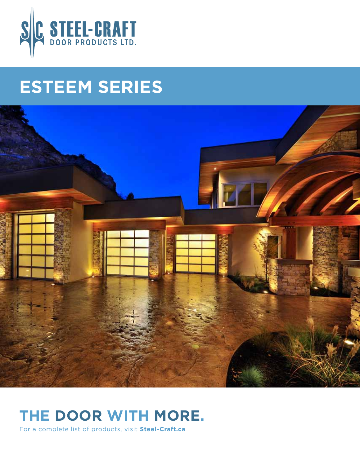

# **ESTEEM SERIES**



### **the door with more.**

For a complete list of products, visit **Steel-Craft.ca**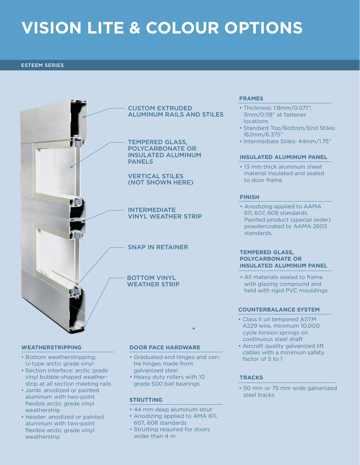### **VISION LITE & COLOUR OPTIONS**

#### ESTEEM SERIES



#### **Weatherstripping**

- Bottom weatherstripping: U-type arctic grade vinyl
- Section interface: arctic grade vinyl bubble-shaped weatherstrip at all section meeting rails
- Jamb: anodized or painted aluminum with two-point flexible arctic grade vinyl weatherstrip
- Header: anodized or painted aluminum with two-point flexible arctic grade vinyl weatherstrip

#### **DOOR FACE HARDWARE**

- Graduated end hinges and centre hinges made from galvanized steel
- Heavy duty rollers with 10 grade 500 ball bearings

#### **STRUTTING**

- 44 mm deep aluminum strut
- Anodizing applied to AMA 611, 607, 608 standards
- Strutting required for doors wider than 4 m

#### **FRAMES**

- Thickness: 1.8mm/0.071"; 3mm/0.118" at fastener locations
- Standard Top/Bottom/End Stiles: 162mm/6.375"
- Intermediate Stiles: 44mm/1.75"

#### **INSULATED Aluminum panel**

• 13 mm thick aluminum sheet material insulated and sealed to door frame

#### **FINISH**

• Anodizing applied to AAMA 611, 607, 608 standards. Painted product (special order) powdercoated to AAMA 2603 standards.

#### **TEMPERED GLASS, POLYCARBONATE OR INSULATED ALUMINUM PANEL**

• All materials sealed to frame with glazing compound and held with rigid PVC mouldings

#### **COUNTERBALANCE SYSTEM**

- Class II oil tempered ASTM A229 wire, minimum 10,000 cycle torsion springs on continuous steel shaft
- Aircraft quality galvanized lift cables with a minimum safety factor of 5 to 1

#### **TRACKS**

• 50 mm or 75 mm wide galvanized steel tracks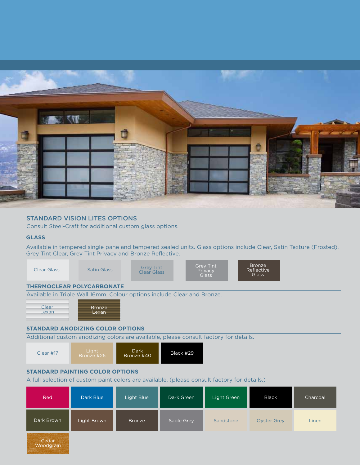

#### standard Vision Lites Options

Consult Steel-Craft for additional custom glass options.

#### **GLASS**

Available in tempered single pane and tempered sealed units. Glass options include Clear, Satin Texture (Frosted), Grey Tint Clear, Grey Tint Privacy and Bronze Reflective.

| Clear Glass                                                             | Satin Glass            | <b>Grey Tint</b><br>Clear Glass | <b>Grey Tint</b><br>Privacy<br><b>Glass</b> | <b>Bronze</b><br>Reflective<br>Glass |  |  |  |  |  |  |
|-------------------------------------------------------------------------|------------------------|---------------------------------|---------------------------------------------|--------------------------------------|--|--|--|--|--|--|
| <b>THERMOCLEAR POLYCARBONATE</b>                                        |                        |                                 |                                             |                                      |  |  |  |  |  |  |
| Available in Triple Wall 16mm. Colour options include Clear and Bronze. |                        |                                 |                                             |                                      |  |  |  |  |  |  |
| Clear<br>Lexan                                                          | <b>Bronze</b><br>Lexan |                                 |                                             |                                      |  |  |  |  |  |  |

#### **standard Anodizing Color Options**

Additional custom anodizing colors are available, please consult factory for details.



#### **standard Painting Color Options**

A full selection of custom paint colors are available. (please consult factory for details.)

| Red        | Dark Blue   | Light Blue | Dark Green | Light Green | <b>Black</b>       | Charcoal |
|------------|-------------|------------|------------|-------------|--------------------|----------|
| Dark Brown | Light Brown | Bronze     | Sable Grey | Sandstone   | <b>Oyster Grey</b> | Linen    |
| Cedar      |             |            |            |             |                    |          |

Cedar Woodgrain